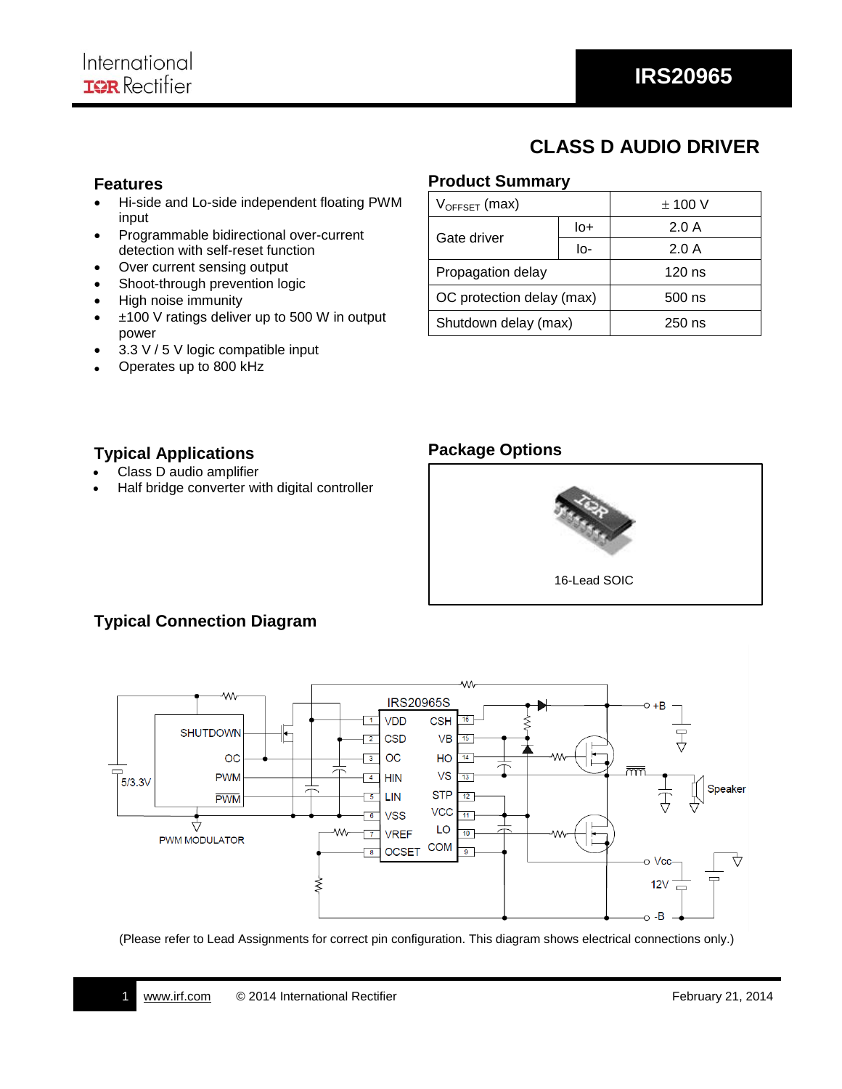# **CLASS D AUDIO DRIVER**

#### **Features**

- Hi-side and Lo-side independent floating PWM input
- Programmable bidirectional over-current detection with self-reset function
- Over current sensing output
- Shoot-through prevention logic
- High noise immunity
- ±100 V ratings deliver up to 500 W in output power
- 3.3 V / 5 V logic compatible input
- Operates up to 800 kHz

### **Product Summary**

| $V_{OFFSET}$ (max)        |     | $\pm$ 100 V |  |
|---------------------------|-----|-------------|--|
| Gate driver               | lo+ | 2.0A        |  |
|                           | lo- | 2.0A        |  |
| Propagation delay         |     | $120$ ns    |  |
| OC protection delay (max) |     | $500$ ns    |  |
| Shutdown delay (max)      |     | $250$ ns    |  |

### **Typical Applications**

- Class D audio amplifier
- Half bridge converter with digital controller



## **Typical Connection Diagram**



(Please refer to Lead Assignments for correct pin configuration. This diagram shows electrical connections only.)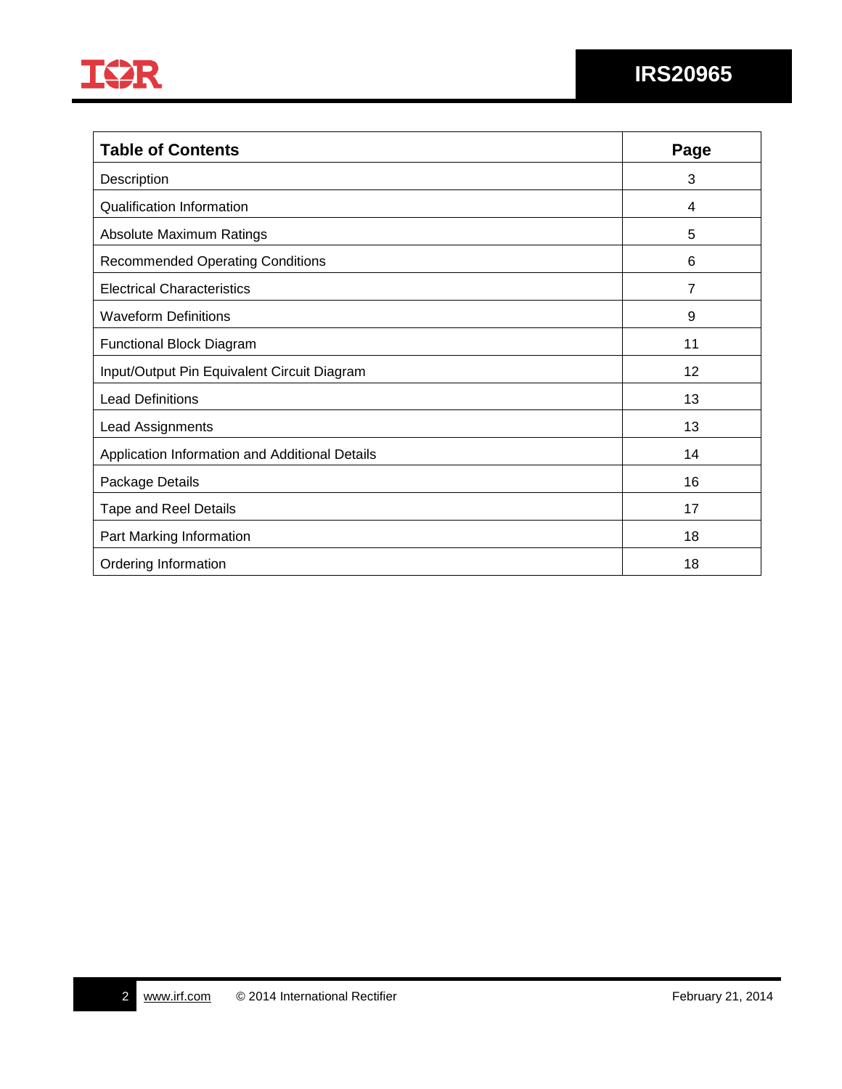

| <b>Table of Contents</b>                       | Page           |
|------------------------------------------------|----------------|
| Description                                    | 3              |
| <b>Qualification Information</b>               | 4              |
| Absolute Maximum Ratings                       | 5              |
| <b>Recommended Operating Conditions</b>        | 6              |
| <b>Electrical Characteristics</b>              | $\overline{7}$ |
| <b>Waveform Definitions</b>                    | 9              |
| <b>Functional Block Diagram</b>                | 11             |
| Input/Output Pin Equivalent Circuit Diagram    | 12             |
| <b>Lead Definitions</b>                        | 13             |
| Lead Assignments                               | 13             |
| Application Information and Additional Details | 14             |
| Package Details                                | 16             |
| <b>Tape and Reel Details</b>                   | 17             |
| Part Marking Information                       | 18             |
| Ordering Information                           | 18             |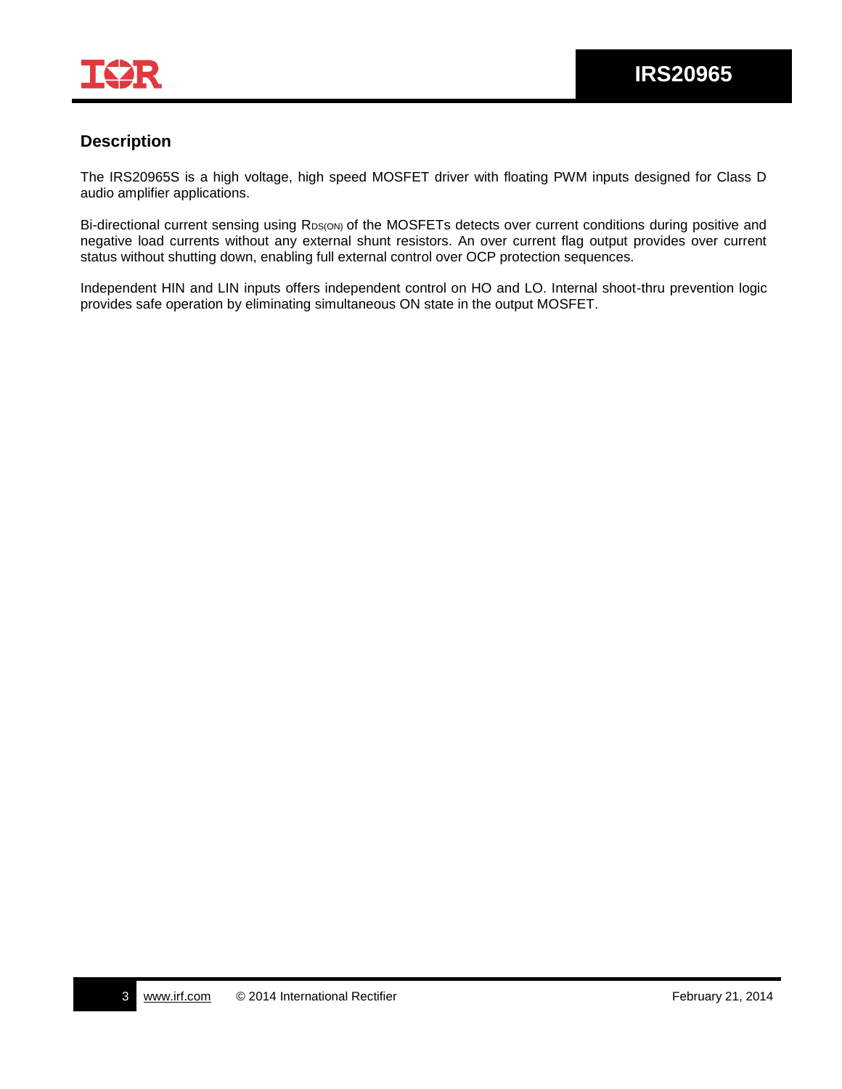

## **Description**

The IRS20965S is a high voltage, high speed MOSFET driver with floating PWM inputs designed for Class D audio amplifier applications.

Bi-directional current sensing using RDS(ON) of the MOSFETs detects over current conditions during positive and negative load currents without any external shunt resistors. An over current flag output provides over current status without shutting down, enabling full external control over OCP protection sequences.

Independent HIN and LIN inputs offers independent control on HO and LO. Internal shoot-thru prevention logic provides safe operation by eliminating simultaneous ON state in the output MOSFET.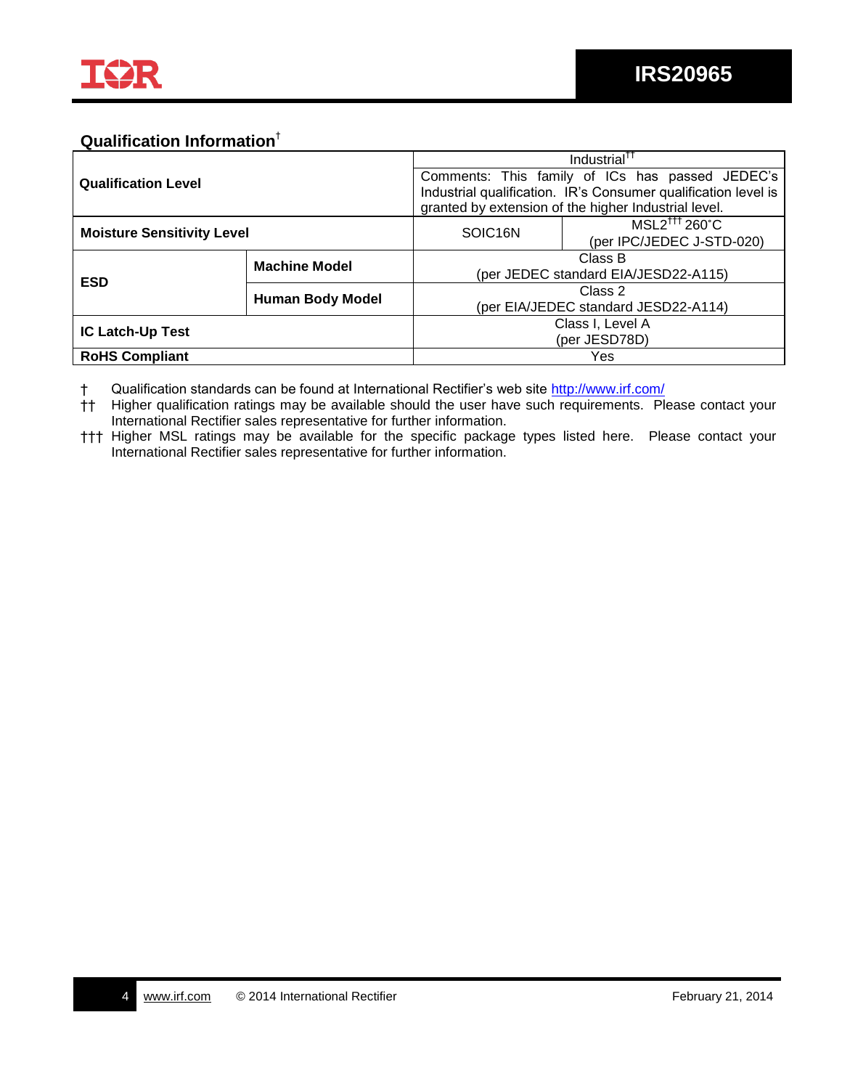

## **Qualification Information**†

| <b>Qualification Level</b>        |                         | Industrial <sup>11</sup>                        |                                                                |  |  |
|-----------------------------------|-------------------------|-------------------------------------------------|----------------------------------------------------------------|--|--|
|                                   |                         | Comments: This family of ICs has passed JEDEC's |                                                                |  |  |
|                                   |                         |                                                 | Industrial qualification. IR's Consumer qualification level is |  |  |
|                                   |                         |                                                 | granted by extension of the higher Industrial level.           |  |  |
| <b>Moisture Sensitivity Level</b> |                         | SOIC <sub>16N</sub>                             | MSL2 <sup>†††</sup> 260°C                                      |  |  |
|                                   |                         |                                                 | (per IPC/JEDEC J-STD-020)                                      |  |  |
|                                   | <b>Machine Model</b>    | Class B                                         |                                                                |  |  |
| <b>ESD</b>                        |                         | (per JEDEC standard EIA/JESD22-A115)            |                                                                |  |  |
|                                   | <b>Human Body Model</b> | Class 2                                         |                                                                |  |  |
|                                   |                         | (per EIA/JEDEC standard JESD22-A114)            |                                                                |  |  |
| <b>IC Latch-Up Test</b>           |                         | Class I, Level A                                |                                                                |  |  |
|                                   |                         | (per JESD78D)                                   |                                                                |  |  |
| <b>RoHS Compliant</b>             |                         |                                                 | Yes                                                            |  |  |

† Qualification standards can be found at International Rectifier's web site<http://www.irf.com/>

- †† Higher qualification ratings may be available should the user have such requirements. Please contact your International Rectifier sales representative for further information.
- ††† Higher MSL ratings may be available for the specific package types listed here. Please contact your International Rectifier sales representative for further information.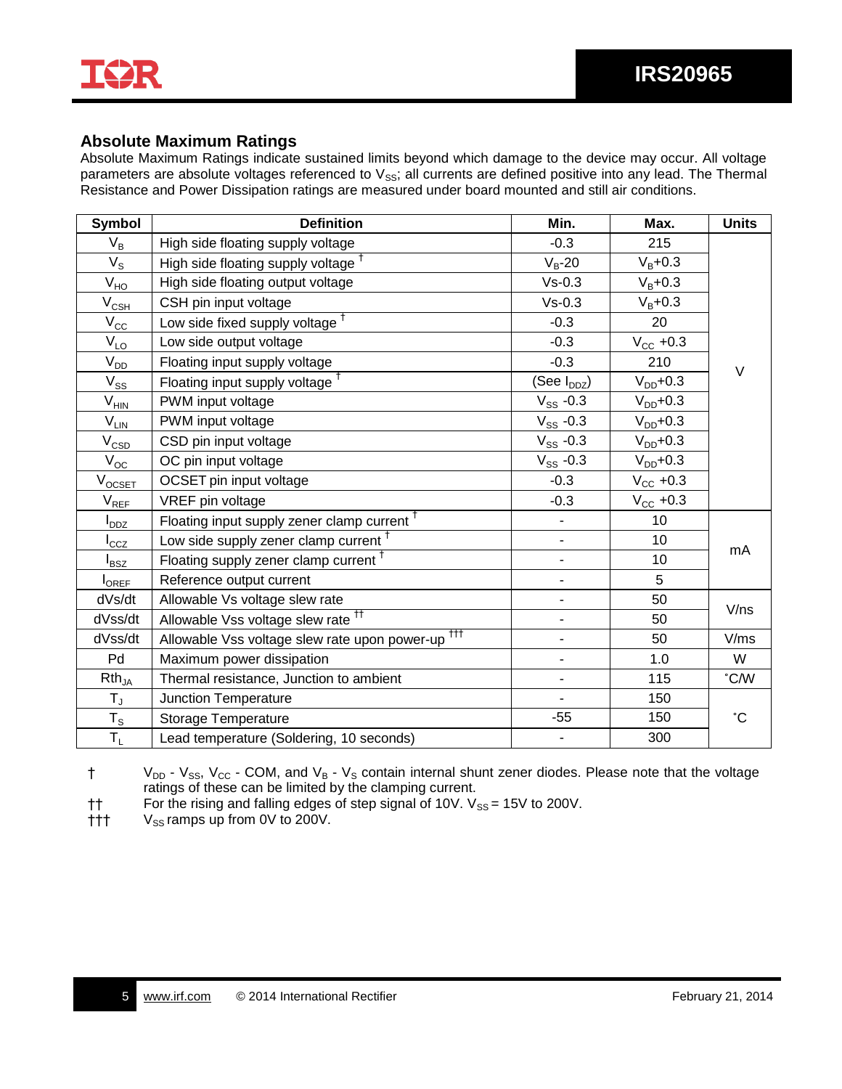

### **Absolute Maximum Ratings**

Absolute Maximum Ratings indicate sustained limits beyond which damage to the device may occur. All voltage parameters are absolute voltages referenced to  $V_{SS}$ ; all currents are defined positive into any lead. The Thermal Resistance and Power Dissipation ratings are measured under board mounted and still air conditions.

| <b>Symbol</b>                 | <b>Definition</b>                                            | Min.                         | Max.          | <b>Units</b> |
|-------------------------------|--------------------------------------------------------------|------------------------------|---------------|--------------|
| $V_B$                         | High side floating supply voltage                            | $-0.3$                       | 215           |              |
| $V_{\rm S}$                   | High side floating supply voltage <sup>†</sup>               | $V_B-20$                     | $V_{B} + 0.3$ |              |
| $V_{HO}$                      | High side floating output voltage                            | $Vs-0.3$                     | $V_B + 0.3$   |              |
| $\rm V_{\rm C\underline{SH}}$ | CSH pin input voltage                                        | $Vs-0.3$                     | $V_B + 0.3$   |              |
| $V_{\rm CC}$                  | Low side fixed supply voltage <sup>†</sup>                   | $-0.3$                       | 20            |              |
| $V_{LO}$                      | Low side output voltage                                      | $-0.3$                       | $V_{CC}$ +0.3 |              |
| $V_{DD}$                      | Floating input supply voltage                                | $-0.3$                       | 210           | V            |
| $V_{SS}$                      | Floating input supply voltage <sup>†</sup>                   | (See I <sub>DDZ</sub> )      | $V_{DD}$ +0.3 |              |
| $\rm V_{HIN}$                 | PWM input voltage                                            | $V_{SS}$ -0.3                | $V_{DD}$ +0.3 |              |
| $\rm V_{LIN}$                 | PWM input voltage                                            | $V_{SS}$ -0.3                | $V_{DD}$ +0.3 |              |
| $\rm V_{\rm CSD}$             | CSD pin input voltage                                        | $V_{SS}$ -0.3                | $V_{DD}$ +0.3 |              |
| $\rm V_{\rm \underline{OC}}$  | OC pin input voltage                                         | $V_{SS}$ -0.3                | $V_{DD}$ +0.3 |              |
| $V_{OCSET}$                   | OCSET pin input voltage                                      | $-0.3$                       | $V_{CC}$ +0.3 |              |
| $V_{REE}$                     | VREF pin voltage                                             | $-0.3$                       | $V_{CC}$ +0.3 |              |
| $I_{DDZ}$                     | Floating input supply zener clamp current <sup>†</sup>       | $\qquad \qquad \blacksquare$ | 10            |              |
| $I_{\rm CCZ}$                 | Low side supply zener clamp current <sup>†</sup>             | $\overline{\phantom{0}}$     | 10            |              |
| $I_{BSZ}$                     | Floating supply zener clamp current <sup>+</sup>             | $\overline{\phantom{a}}$     | 10            | mA           |
| <b>I</b> OREF                 | Reference output current                                     | $\qquad \qquad \blacksquare$ | 5             |              |
| dVs/dt                        | Allowable Vs voltage slew rate                               | $\overline{\phantom{m}}$     | 50            |              |
| dVss/dt                       | Allowable Vss voltage slew rate <sup>11</sup>                |                              | 50            | V/ns         |
| dVss/dt                       | Allowable Vss voltage slew rate upon power-up <sup>†††</sup> | -                            | 50            | V/ms         |
| Pd                            | Maximum power dissipation                                    | -                            | 1.0           | W            |
| $Rth_{JA}$                    | Thermal resistance, Junction to ambient                      | $\overline{\phantom{m}}$     | 115           | °C/W         |
| $\mathsf{T}_{\mathsf{J}}$     | <b>Junction Temperature</b>                                  |                              | 150           |              |
| $T_{\tt S}$                   | <b>Storage Temperature</b>                                   | $-55$                        | 150           | °С           |
| $T_L$                         | Lead temperature (Soldering, 10 seconds)                     | $\overline{\phantom{0}}$     | 300           |              |

 $\dagger$  V<sub>DD</sub> - V<sub>SS</sub>, V<sub>CC</sub> - COM, and V<sub>B</sub> - V<sub>S</sub> contain internal shunt zener diodes. Please note that the voltage ratings of these can be limited by the clamping current.

†† For the rising and falling edges of step signal of 10V.  $V_{SS} = 15V$  to 200V.<br>††† V<sub>SS</sub> ramps up from 0V to 200V.

 $V_{SS}$  ramps up from 0V to 200V.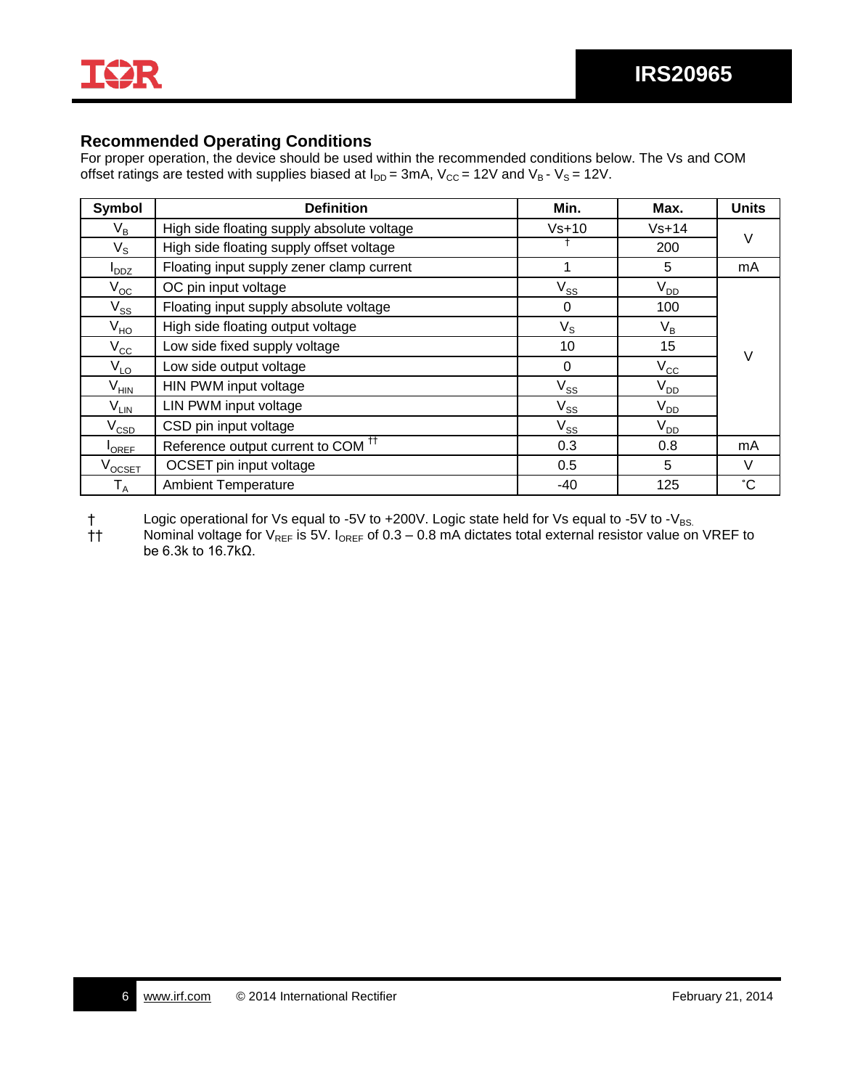

### **Recommended Operating Conditions**

For proper operation, the device should be used within the recommended conditions below. The Vs and COM offset ratings are tested with supplies biased at  $I_{DD} = 3mA$ ,  $V_{CC} = 12V$  and  $V_B - V_S = 12V$ .

| Symbol                     | <b>Definition</b>                             | Min.        | Max.         | <b>Units</b>   |
|----------------------------|-----------------------------------------------|-------------|--------------|----------------|
| $V_B$                      | High side floating supply absolute voltage    | $Vs+10$     | $Vs+14$      | $\vee$         |
| $V_{\rm S}$                | High side floating supply offset voltage      |             |              |                |
| <b>DDZ</b>                 | Floating input supply zener clamp current     |             | 5            | m <sub>A</sub> |
| $V_{OC}$                   | OC pin input voltage                          | $V_{SS}$    | $V_{DD}$     |                |
| $\mathsf{V}_{\mathsf{SS}}$ | Floating input supply absolute voltage        | 0           | 100          |                |
| $V_{HO}$                   | High side floating output voltage             | $V_{\rm S}$ | $V_B$        |                |
| $V_{\rm CC}$               | Low side fixed supply voltage                 | 10          | 15           | $\vee$         |
| $V_{LO}$                   | Low side output voltage                       | 0           | $V_{\rm CC}$ |                |
| $\rm V_{HIN}$              | HIN PWM input voltage                         | $V_{SS}$    | $V_{DD}$     |                |
| $V_{LIN}$                  | LIN PWM input voltage                         | $V_{SS}$    | $V_{DD}$     |                |
| $\rm V_{CSD}$              | CSD pin input voltage                         | $V_{SS}$    | $V_{DD}$     |                |
| <b>OREF</b>                | Reference output current to COM <sup>TT</sup> | 0.3         | 0.8          | mA             |
| $\rm v_{\rm{ocstr}}$       | OCSET pin input voltage                       | 0.5         | 5            | V              |
| $\mathsf{T}_\mathsf{A}$    | <b>Ambient Temperature</b>                    | -40         | 125          | °С             |

 $\dagger$  Logic operational for Vs equal to -5V to +200V. Logic state held for Vs equal to -5V to -V<sub>BS.</sub><br>  $\dagger$  Nominal voltage for V<sub>REF</sub> is 5V. I<sub>OREF</sub> of 0.3 – 0.8 mA dictates total external resistor value or Nominal voltage for  $V_{REF}$  is 5V. I<sub>OREF</sub> of 0.3 – 0.8 mA dictates total external resistor value on VREF to be 6.3k to 16.7kΩ.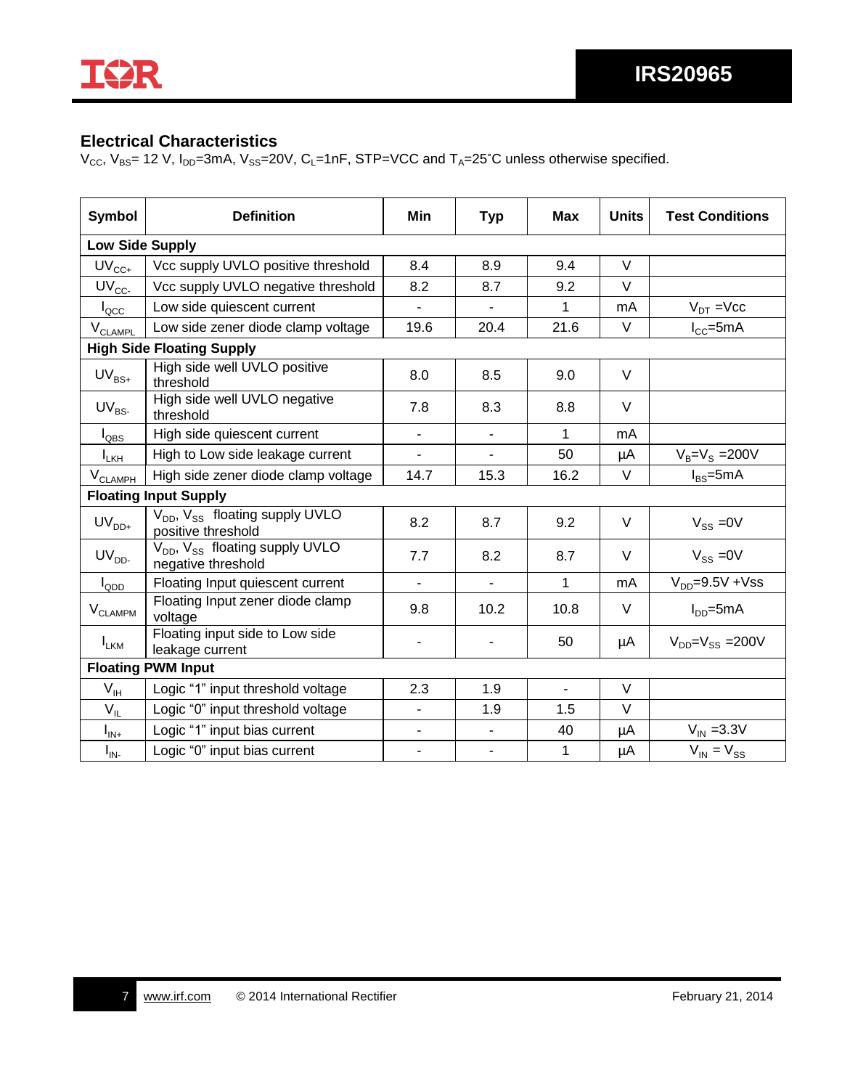

### **Electrical Characteristics**

 $V_{CC}$ ,  $V_{BS}$  = 12 V,  $I_{DD}$  = 3mA,  $V_{SS}$  = 20V,  $C_L$  = 1nF, STP = VCC and  $T_A$  = 25°C unless otherwise specified.

| Symbol                       | <b>Definition</b>                                                            | Min                      | <b>Typ</b>               | Max            | <b>Units</b> | <b>Test Conditions</b>             |
|------------------------------|------------------------------------------------------------------------------|--------------------------|--------------------------|----------------|--------------|------------------------------------|
| <b>Low Side Supply</b>       |                                                                              |                          |                          |                |              |                                    |
| $UV_{CC+}$                   | Vcc supply UVLO positive threshold                                           | 8.4                      | 8.9                      | 9.4            | $\vee$       |                                    |
| $UV_{CC}$                    | Vcc supply UVLO negative threshold                                           | 8.2                      | 8.7                      | 9.2            | $\vee$       |                                    |
| $I_{\text{QCC}}$             | Low side quiescent current                                                   | $\overline{\phantom{0}}$ | $\blacksquare$           | 1              | mA           | $V_{DT}$ =Vcc                      |
| V <sub>CLAMPL</sub>          | Low side zener diode clamp voltage                                           | 19.6                     | 20.4                     | 21.6           | V            | $I_{CC}$ =5mA                      |
|                              | <b>High Side Floating Supply</b>                                             |                          |                          |                |              |                                    |
| $UV_{BS+}$                   | High side well UVLO positive<br>threshold                                    | 8.0                      | 8.5                      | 9.0            | V            |                                    |
| $UV_{BS}$                    | High side well UVLO negative<br>threshold                                    | 7.8                      | 8.3                      | 8.8            | V            |                                    |
| $I_{\text{QBS}}$             | High side quiescent current                                                  | $\blacksquare$           | $\overline{\phantom{a}}$ | 1              | mA           |                                    |
| $I_{LKH}$                    | High to Low side leakage current                                             | $\blacksquare$           |                          | 50             | μA           | $V_B = V_S = 200V$                 |
| $V_{CLAMPH}$                 | High side zener diode clamp voltage                                          | 14.7                     | 15.3                     | 16.2           | V            | $I_{BS}$ =5mA                      |
|                              | <b>Floating Input Supply</b>                                                 |                          |                          |                |              |                                    |
| $\mathsf{UV}_{\mathsf{DD+}}$ | V <sub>DD</sub> , V <sub>SS</sub> floating supply UVLO<br>positive threshold | 8.2                      | 8.7                      | 9.2            | $\vee$       | $V_{SS} = 0V$                      |
| $UV_{DD}$ .                  | V <sub>DD</sub> , V <sub>SS</sub> floating supply UVLO<br>negative threshold | 7.7                      | 8.2                      | 8.7            | V            | $V_{SS} = 0V$                      |
| $I_{QDD}$                    | Floating Input quiescent current                                             |                          |                          | 1              | mA           | $V_{DD} = 9.5V + Vss$              |
| $\rm V_{CLAMPM}$             | Floating Input zener diode clamp<br>voltage                                  | 9.8                      | 10.2                     | 10.8           | $\vee$       | $I_{DD}$ =5mA                      |
| $I_{LKM}$                    | Floating input side to Low side<br>leakage current                           |                          |                          | 50             | μA           | $V_{\text{DD}}=V_{\text{SS}}=200V$ |
| <b>Floating PWM Input</b>    |                                                                              |                          |                          |                |              |                                    |
| $V_{IH}$                     | Logic "1" input threshold voltage                                            | 2.3                      | 1.9                      | $\blacksquare$ | $\vee$       |                                    |
| $V_{IL}$                     | Logic "0" input threshold voltage                                            | -                        | 1.9                      | 1.5            | $\vee$       |                                    |
| $I_{IN+}$                    | Logic "1" input bias current                                                 | -                        | $\blacksquare$           | 40             | μA           | $V_{IN}$ = 3.3V                    |
| $I_{IN}$                     | Logic "0" input bias current                                                 | $\blacksquare$           | $\overline{\phantom{a}}$ | 1              | μA           | $V_{IN} = V_{SS}$                  |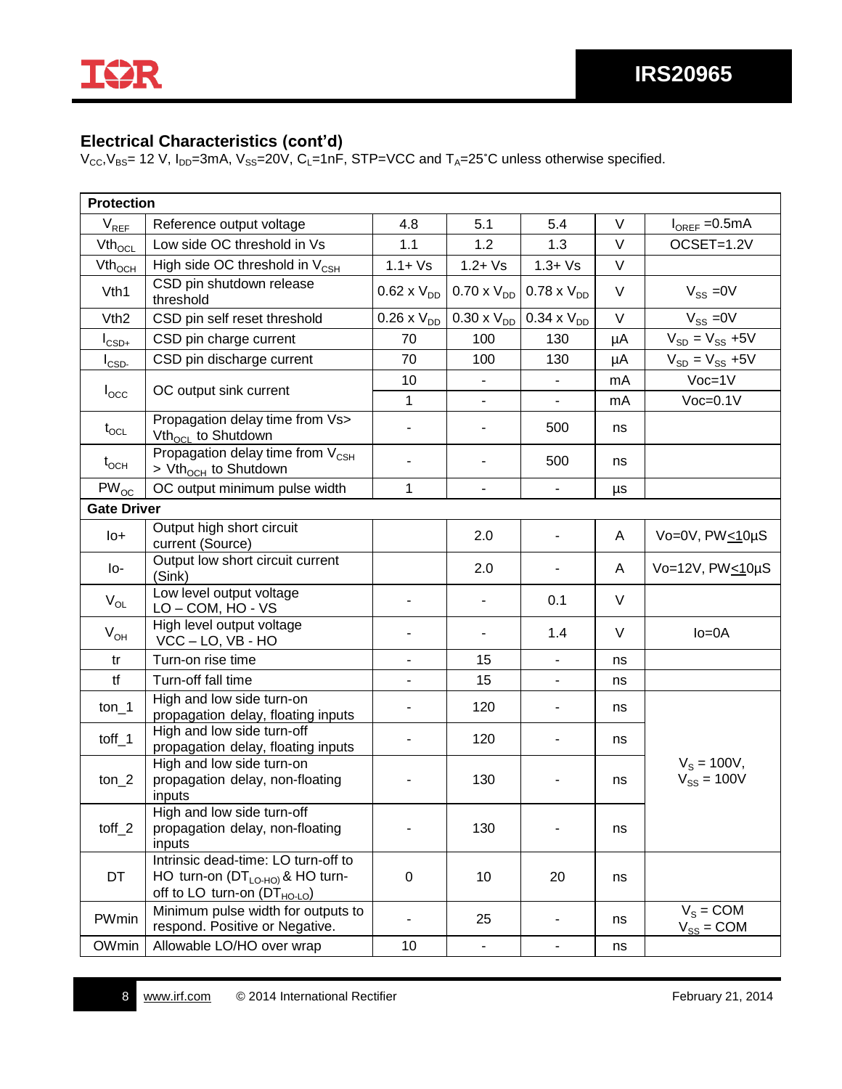I¥R

## **Electrical Characteristics (cont'd)**

 $V_{CC}$ ,  $V_{BS}$  = 12 V,  $I_{DD}$  = 3mA,  $V_{SS}$  = 20 $\dot{V}$ ,  $C_L$  = 1nF, STP = VCC and  $T_A$  = 25°C unless otherwise specified.

| <b>Protection</b>  |                                                                                                                        |                          |                              |                          |        |                                  |
|--------------------|------------------------------------------------------------------------------------------------------------------------|--------------------------|------------------------------|--------------------------|--------|----------------------------------|
| $V_{REF}$          | Reference output voltage                                                                                               | 4.8                      | 5.1                          | 5.4                      | V      | $I_{OREF} = 0.5mA$               |
| $Vth_{\text{OCL}}$ | Low side OC threshold in Vs                                                                                            | 1.1                      | 1.2                          | 1.3                      | V      | OCSET=1.2V                       |
| $Vth_{OCH}$        | High side OC threshold in $V_{\text{CSH}}$                                                                             | $1.1 + Vs$               | $1.2 + Vs$                   | $1.3 + Vs$               | V      |                                  |
| V <sub>th</sub> 1  | CSD pin shutdown release<br>threshold                                                                                  | $0.62 \times V_{DD}$     | $0.70 \times V_{DD}$         | $0.78 \times V_{DD}$     | $\vee$ | $V_{SS} = 0V$                    |
| V <sub>th2</sub>   | CSD pin self reset threshold                                                                                           | $0.26 \times V_{DD}$     | $0.30 \times V_{DD}$         | $0.34 \times V_{DD}$     | V      | $V_{SS} = 0V$                    |
| $I_{CSD+}$         | CSD pin charge current                                                                                                 | 70                       | 100                          | 130                      | μA     | $V_{SD} = V_{SS} + 5V$           |
| $I_{\text{CSD}}$   | CSD pin discharge current                                                                                              | 70                       | 100                          | 130                      | μA     | $V_{SD} = V_{SS} + 5V$           |
|                    |                                                                                                                        | 10                       | $\overline{\phantom{a}}$     | $\overline{\phantom{a}}$ | mA     | $Voc=1V$                         |
| $I_{\rm{occ}}$     | OC output sink current                                                                                                 | $\mathbf{1}$             | $\overline{\phantom{a}}$     |                          | mA     | $Voc=0.1V$                       |
| $t_{\rm OCL}$      | Propagation delay time from Vs><br>Vth <sub>ocL</sub> to Shutdown                                                      | $\overline{\phantom{a}}$ | $\overline{\phantom{a}}$     | 500                      | ns     |                                  |
| $t_{OCH}$          | Propagation delay time from V <sub>CSH</sub><br>> Vth <sub>och</sub> to Shutdown                                       | $\overline{\phantom{a}}$ | $\qquad \qquad \blacksquare$ | 500                      | ns     |                                  |
| $PW_{OC}$          | OC output minimum pulse width                                                                                          | 1                        | $\blacksquare$               |                          | μs     |                                  |
| <b>Gate Driver</b> |                                                                                                                        |                          |                              |                          |        |                                  |
| lo+                | Output high short circuit<br>current (Source)                                                                          |                          | 2.0                          |                          | A      | Vo=0V, $PW_{\leq 1}$ 0µS         |
| lo-                | Output low short circuit current<br>(Sink)                                                                             |                          | 2.0                          |                          | A      | Vo=12V, PW<10µS                  |
| $V_{OL}$           | Low level output voltage<br>LO-COM, HO-VS                                                                              |                          | $\blacksquare$               | 0.1                      | $\vee$ |                                  |
| $V_{OH}$           | High level output voltage<br>$VCC - LO$ , $VB - HO$                                                                    | $\overline{a}$           | $\blacksquare$               | 1.4                      | V      | $lo = 0A$                        |
| tr                 | Turn-on rise time                                                                                                      | $\blacksquare$           | 15                           | $\overline{\phantom{a}}$ | ns     |                                  |
| tf                 | Turn-off fall time                                                                                                     |                          | 15                           |                          | ns     |                                  |
| $ton_1$            | High and low side turn-on<br>propagation delay, floating inputs                                                        | $\blacksquare$           | 120                          | $\overline{\phantom{a}}$ | ns     |                                  |
| toff $\_1$         | High and low side turn-off<br>propagation delay, floating inputs                                                       | $\overline{\phantom{a}}$ | 120                          | $\overline{\phantom{a}}$ | ns     |                                  |
| $ton_2$            | High and low side turn-on<br>propagation delay, non-floating<br>inputs                                                 |                          | 130                          |                          | ns     | $V_s = 100V,$<br>$V_{SS} = 100V$ |
| toff $_2$          | High and low side turn-off<br>propagation delay, non-floating<br>inputs                                                |                          | 130                          |                          | ns     |                                  |
| DT                 | Intrinsic dead-time: LO turn-off to<br>HO turn-on $(DT_{LO-HO)}$ & HO turn-<br>off to LO turn-on $(DT_{HO\text{-}LO})$ | 0                        | 10                           | 20                       | ns     |                                  |
| PWmin              | Minimum pulse width for outputs to<br>respond. Positive or Negative.                                                   | $\overline{\phantom{a}}$ | 25                           | $\blacksquare$           | ns     | $V_s = COM$<br>$V_{SS} = COM$    |
| OWmin              | Allowable LO/HO over wrap                                                                                              | 10                       | ۰                            | $\blacksquare$           | ns     |                                  |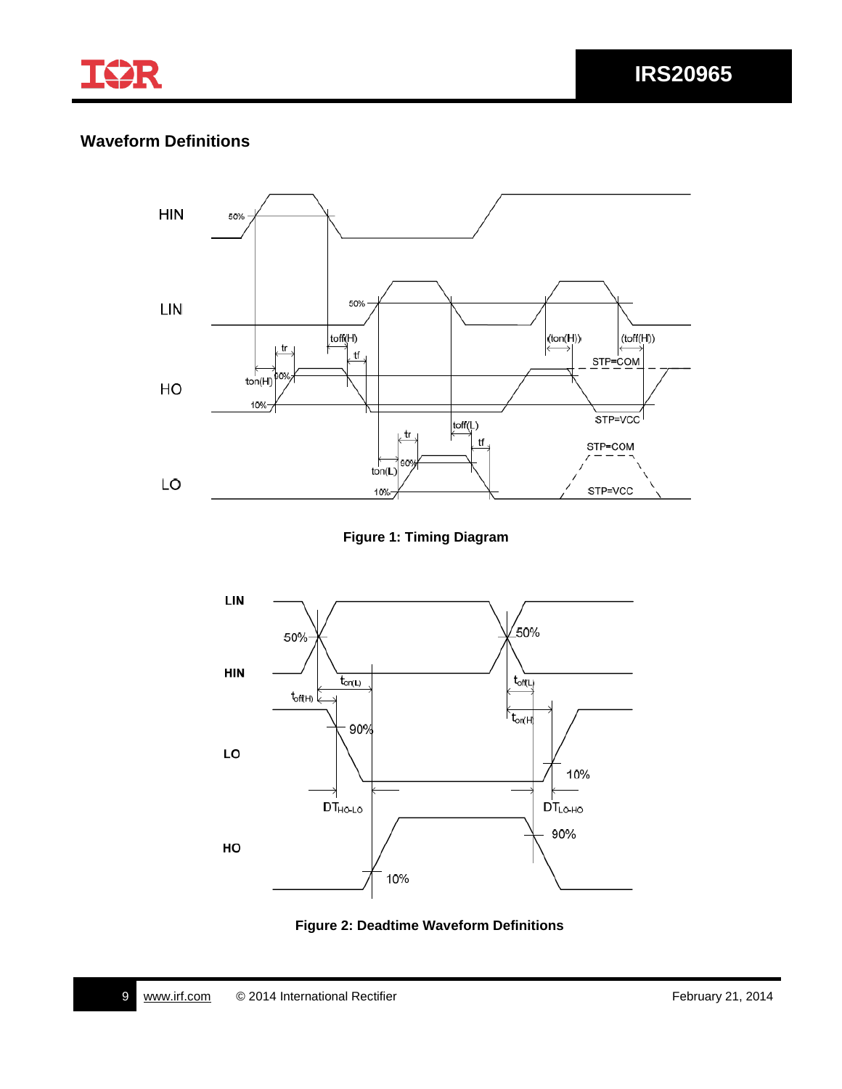

# **Waveform Definitions**



**Figure 1: Timing Diagram**



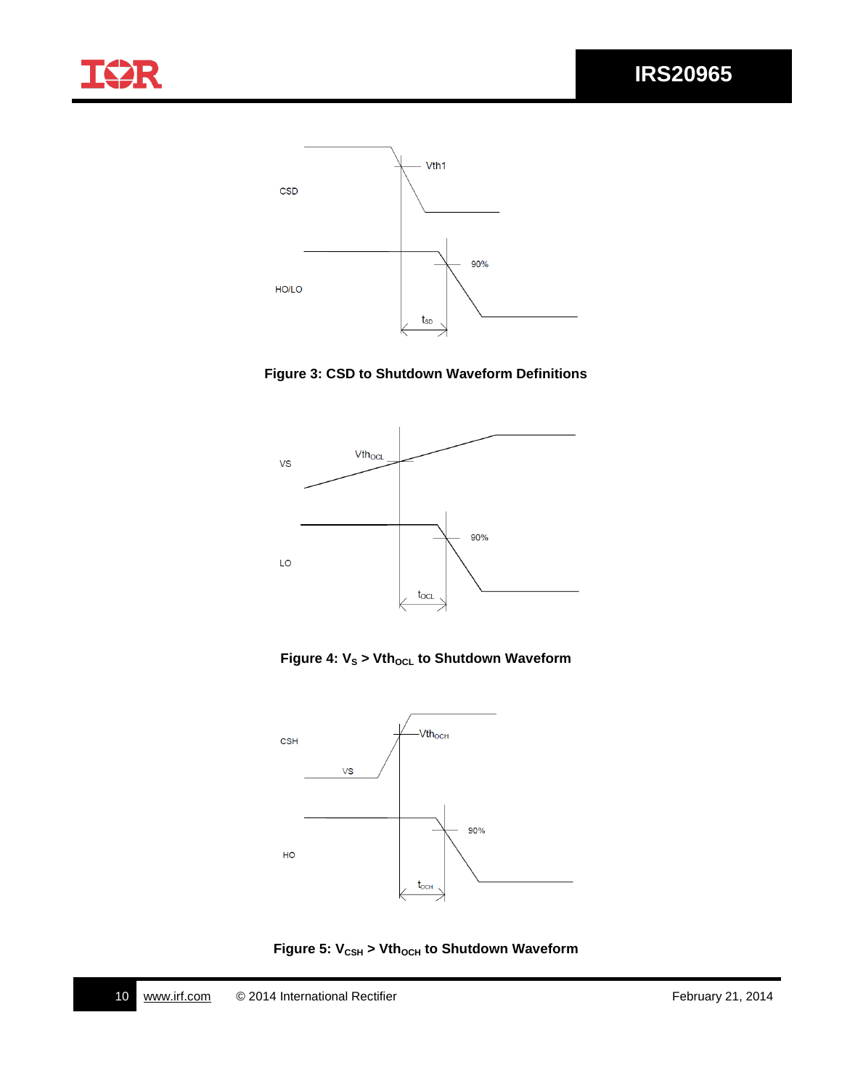





**Figure 4:**  $V_s$  **> Vth<sub>ocL</sub> to Shutdown Waveform** 



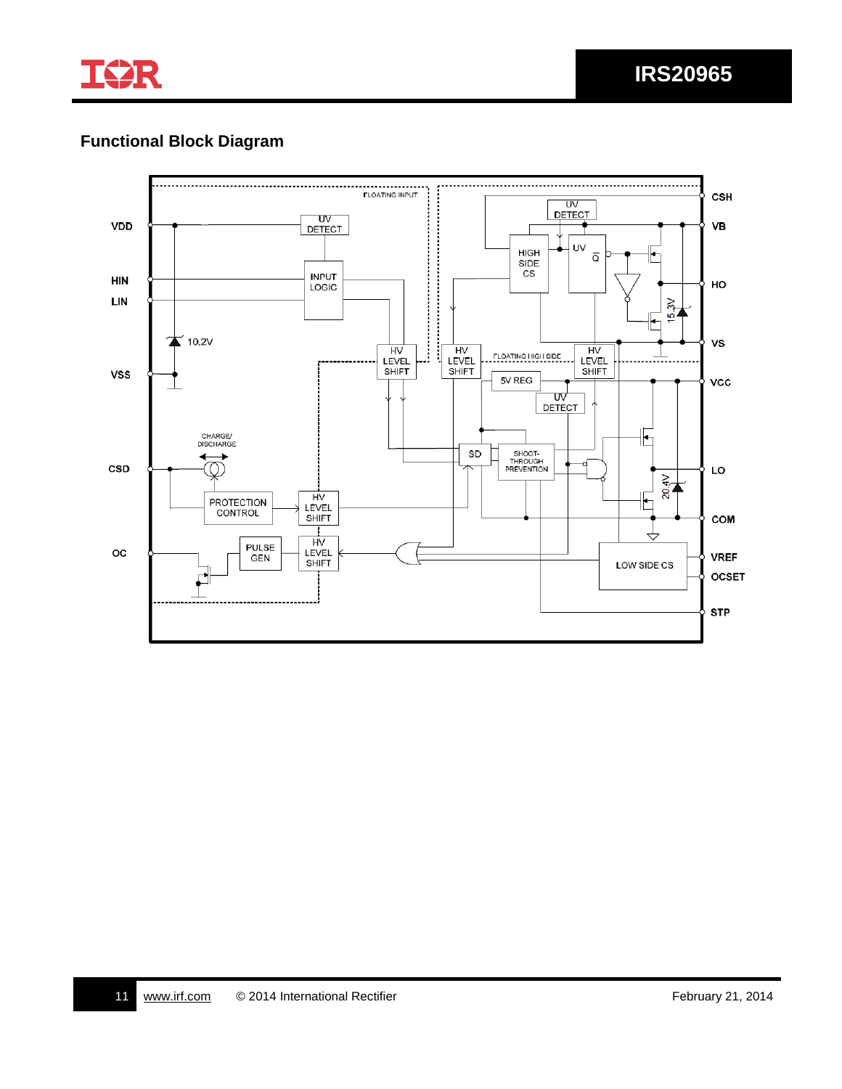

# **Functional Block Diagram**

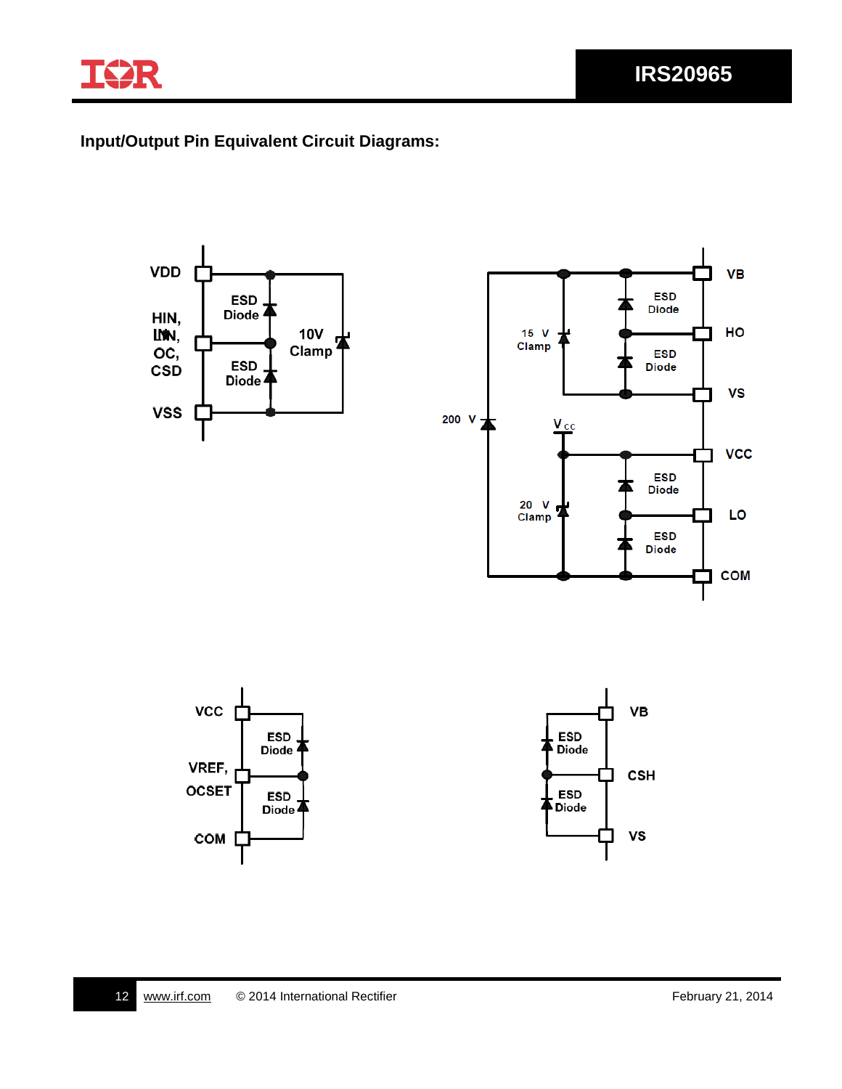

## **Input/Output Pin Equivalent Circuit Diagrams:**

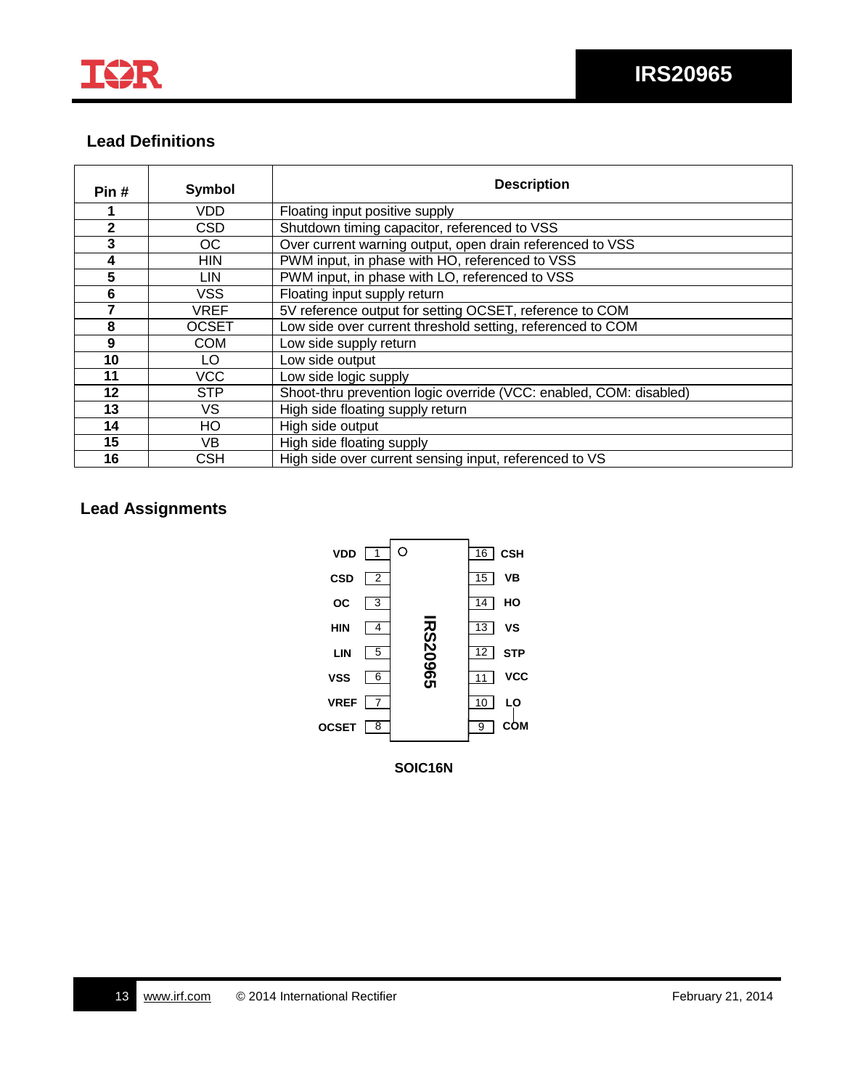

### **Lead Definitions**

| Pin#         | <b>Symbol</b> | <b>Description</b>                                                 |  |
|--------------|---------------|--------------------------------------------------------------------|--|
|              | VDD           | Floating input positive supply                                     |  |
| $\mathbf{2}$ | <b>CSD</b>    | Shutdown timing capacitor, referenced to VSS                       |  |
| $\mathbf{3}$ | OC.           | Over current warning output, open drain referenced to VSS          |  |
| 4            | <b>HIN</b>    | PWM input, in phase with HO, referenced to VSS                     |  |
| 5            | LIN.          | PWM input, in phase with LO, referenced to VSS                     |  |
| 6            | <b>VSS</b>    | Floating input supply return                                       |  |
|              | <b>VREF</b>   | 5V reference output for setting OCSET, reference to COM            |  |
| 8            | <b>OCSET</b>  | Low side over current threshold setting, referenced to COM         |  |
| 9            | <b>COM</b>    | Low side supply return                                             |  |
| 10           | LO.           | Low side output                                                    |  |
| 11           | <b>VCC</b>    | Low side logic supply                                              |  |
| 12           | <b>STP</b>    | Shoot-thru prevention logic override (VCC: enabled, COM: disabled) |  |
| 13           | VS.           | High side floating supply return                                   |  |
| 14           | HO            | High side output                                                   |  |
| 15           | VB.           | High side floating supply                                          |  |
| 16           | CSH           | High side over current sensing input, referenced to VS             |  |

## **Lead Assignments**

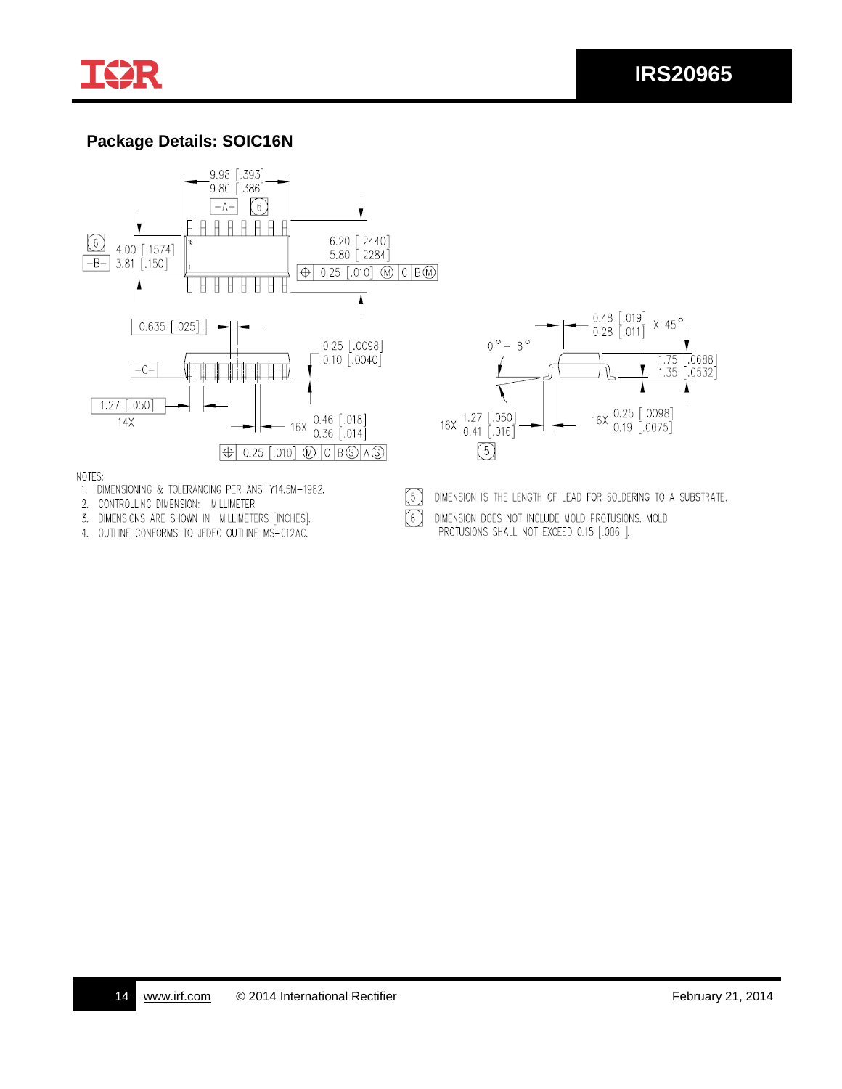

## **Package Details: SOIC16N**





- 1. DIMENSIONING & TOLERANCING PER ANSI Y14.5M-1982.
- 2. CONTROLLING DIMENSION: MILLIMETER
- 3. DIMENSIONS ARE SHOWN IN MILLIMETERS [INCHES].
- 4. OUTLINE CONFORMS TO JEDEC OUTLINE MS-012AC.



DIMENSION IS THE LENGTH OF LEAD FOR SOLDERING TO A SUBSTRATE.

DIMENSION DOES NOT INCLUDE MOLD PROTUSIONS. MOLD PROTUSIONS SHALL NOT EXCEED 0.15 [.006 ].

 $\circled{5}$ 

 $\odot$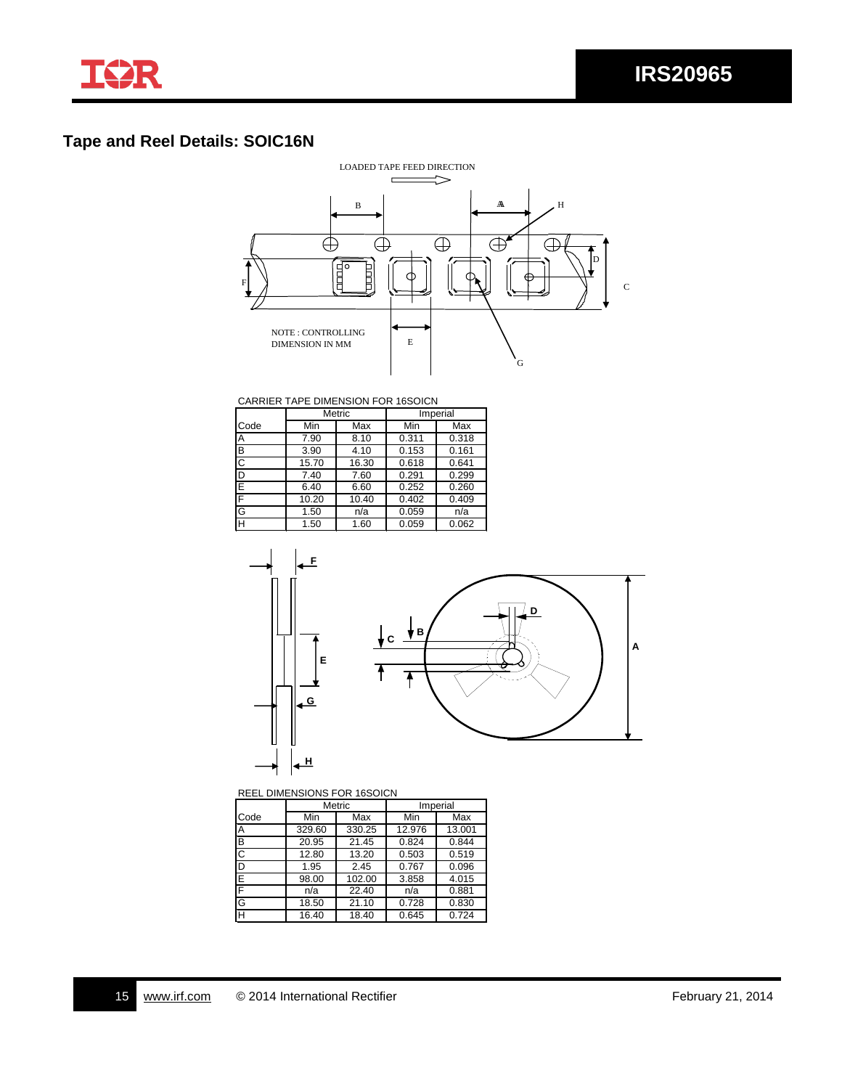

## **Tape and Reel Details: SOIC16N**



CARRIER TAPE DIMENSION FOR 16SOICN

|                         | Metric |       | Imperial |       |
|-------------------------|--------|-------|----------|-------|
| Code                    | Min    | Max   | Min      | Max   |
| Α                       | 7.90   | 8.10  | 0.311    | 0.318 |
| B                       | 3.90   | 4.10  | 0.153    | 0.161 |
| $\overline{\text{c}}$   | 15.70  | 16.30 | 0.618    | 0.641 |
| D                       | 7.40   | 7.60  | 0.291    | 0.299 |
| E                       | 6.40   | 6.60  | 0.252    | 0.260 |
| F                       | 10.20  | 10.40 | 0.402    | 0.409 |
| G                       | 1.50   | n/a   | 0.059    | n/a   |
| $\overline{\mathsf{H}}$ | 1.50   | 1.60  | 0.059    | 0.062 |



REEL DIMENSIONS FOR 16SOICN

|             |        | <b>Metric</b> | Imperial |        |  |
|-------------|--------|---------------|----------|--------|--|
| Code        | Min    | Max           | Min      | Max    |  |
| Α           | 329.60 | 330.25        | 12.976   | 13.001 |  |
| စျပ         | 20.95  | 21.45         | 0.824    | 0.844  |  |
|             | 12.80  | 13.20         | 0.503    | 0.519  |  |
| D<br>F<br>F | 1.95   | 2.45          | 0.767    | 0.096  |  |
|             | 98.00  | 102.00        | 3.858    | 4.015  |  |
|             | n/a    | 22.40         | n/a      | 0.881  |  |
| 인고          | 18.50  | 21.10         | 0.728    | 0.830  |  |
|             | 16.40  | 18.40         | 0.645    | 0.724  |  |